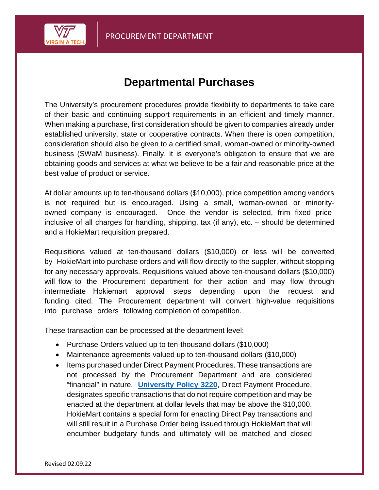

## **Departmental Purchases**

The University's procurement procedures provide flexibility to departments to take care of their basic and continuing support requirements in an efficient and timely manner. When making a purchase, first consideration should be given to companies already under established university, state or cooperative contracts. When there is open competition, consideration should also be given to a certified small, woman-owned or minority-owned business (SWaM business). Finally, it is everyone's obligation to ensure that we are obtaining goods and services at what we believe to be a fair and reasonable price at the best value of product or service.

At dollar amounts up to ten-thousand dollars (\$10,000), price competition among vendors is not required but is encouraged. Using a small, woman-owned or minorityowned company is encouraged. Once the vendor is selected, frim fixed priceinclusive of all charges for handling, shipping, tax (if any), etc. – should be determined and a HokieMart requisition prepared.

Requisitions valued at ten-thousand dollars (\$10,000) or less will be converted by HokieMart into purchase orders and will flow directly to the suppler, without stopping for any necessary approvals. Requisitions valued above ten-thousand dollars (\$10,000) will flow to the Procurement department for their action and may flow through intermediate Hokiemart approval steps depending upon the request and funding cited. The Procurement department will convert high-value requisitions into purchase orders following completion of competition.

These transaction can be processed at the department level:

- Purchase Orders valued up to ten-thousand dollars (\$10,000)
- Maintenance agreements valued up to ten-thousand dollars (\$10,000)
- Items purchased under Direct Payment Procedures. These transactions are not processed by the Procurement Department and are considered "financial" in nature. **[University Policy 3220](http://www.policies.vt.edu/3220.pdf)**, Direct Payment Procedure, designates specific transactions that do not require competition and may be enacted at the department at dollar levels that may be above the \$10,000. HokieMart contains a special form for enacting Direct Pay transactions and will still result in a Purchase Order being issued through HokieMart that will encumber budgetary funds and ultimately will be matched and closed